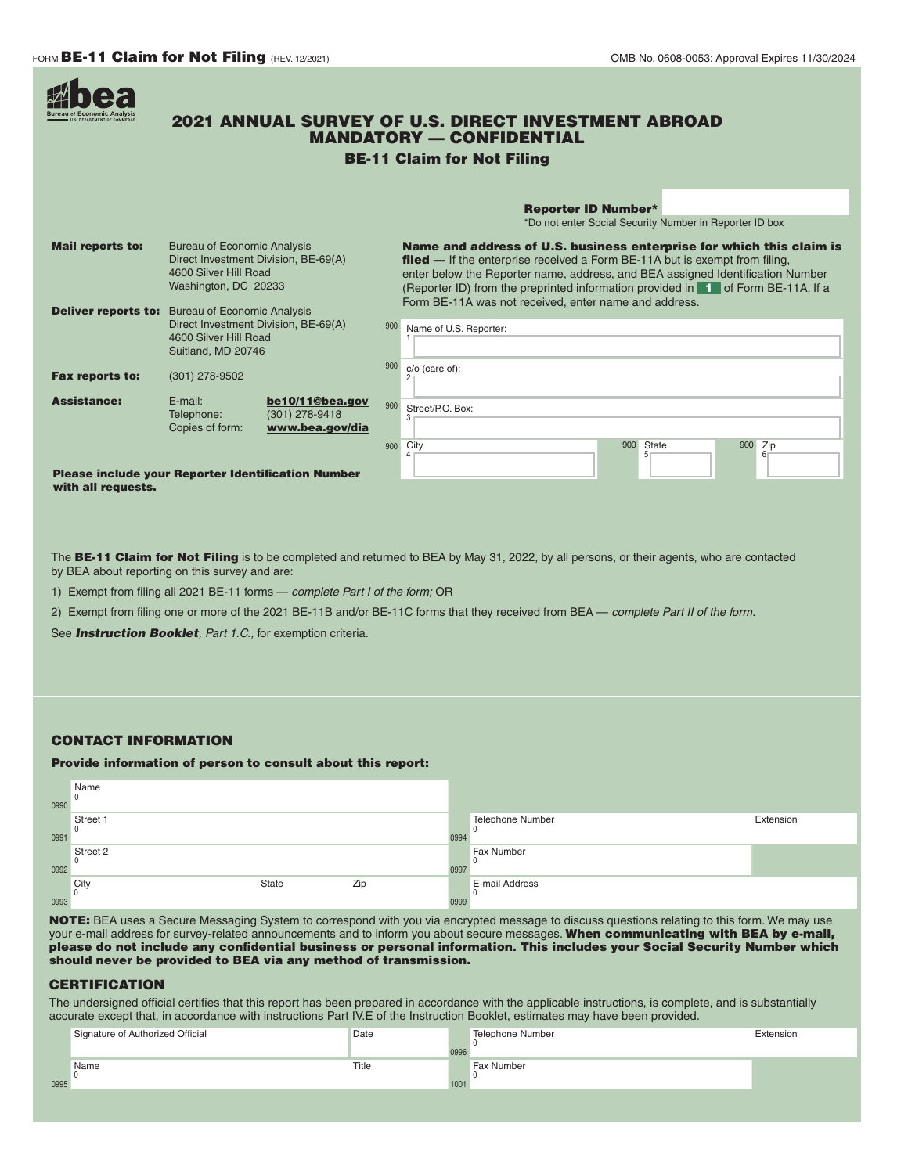- 1

|                         | <b>2021 ANNUAL SURVEY OF U.S. DIRECT INVESTMENT ABROAD</b><br><b>MANDATORY - CONFIDENTIAL</b><br><b>BE-11 Claim for Not Filing</b>                                                    |                                                                                                                                                                                                                                                                                                                                                                                                  |  |  |  |  |
|-------------------------|---------------------------------------------------------------------------------------------------------------------------------------------------------------------------------------|--------------------------------------------------------------------------------------------------------------------------------------------------------------------------------------------------------------------------------------------------------------------------------------------------------------------------------------------------------------------------------------------------|--|--|--|--|
|                         |                                                                                                                                                                                       | <b>Reporter ID Number*</b>                                                                                                                                                                                                                                                                                                                                                                       |  |  |  |  |
|                         |                                                                                                                                                                                       | *Do not enter Social Security Number in Reporter ID box                                                                                                                                                                                                                                                                                                                                          |  |  |  |  |
| <b>Mail reports to:</b> | <b>Bureau of Economic Analysis</b><br>Direct Investment Division, BE-69(A)<br>4600 Silver Hill Road<br>Washington, DC 20233<br><b>Deliver reports to:</b> Bureau of Economic Analysis | Name and address of U.S. business enterprise for which this claim is<br><b>filed —</b> If the enterprise received a Form BE-11A but is exempt from filing,<br>enter below the Reporter name, address, and BEA assigned Identification Number<br>(Reporter ID) from the preprinted information provided in <b>1</b> of Form BE-11A. If a<br>Form BE-11A was not received, enter name and address. |  |  |  |  |
|                         | Direct Investment Division, BE-69(A)<br>4600 Silver Hill Road<br>Suitland, MD 20746                                                                                                   | 900<br>Name of U.S. Reporter:<br>900                                                                                                                                                                                                                                                                                                                                                             |  |  |  |  |
| <b>Fax reports to:</b>  | (301) 278-9502                                                                                                                                                                        | $c/o$ (care of):                                                                                                                                                                                                                                                                                                                                                                                 |  |  |  |  |
| <b>Assistance:</b>      | $F$ -mail:<br>be10/11@bea.gov<br>$(301)$ 278-9418<br>Telephone:<br>Copies of form:<br>www.bea.gov/dia                                                                                 | 900<br>Street/P.O. Box:                                                                                                                                                                                                                                                                                                                                                                          |  |  |  |  |
|                         |                                                                                                                                                                                       | 900<br>State<br>900<br>City<br>Zip<br>900<br>5<br>6 <sup>1</sup><br>4                                                                                                                                                                                                                                                                                                                            |  |  |  |  |
| with all requests.      | <b>Please include your Reporter Identification Number</b>                                                                                                                             |                                                                                                                                                                                                                                                                                                                                                                                                  |  |  |  |  |

The BE-11 Claim for Not Filing is to be completed and returned to BEA by May 31, 2022, by all persons, or their agents, who are contacted by BEA about reporting on this survey and are:

1) Exempt from filing all 2021 BE-11 forms — *complete Part I of the form;* OR

2) Exempt from filing one or more of the 2021 BE-11B and/or BE-11C forms that they received from BEA — *complete Part II of the form.*

See *Instruction Booklet, Part 1.C.,* for exemption criteria.

## CONTACT INFORMATION

## Provide information of person to consult about this report:

| 0990 | Name<br>0                |       |     |      |                            |           |
|------|--------------------------|-------|-----|------|----------------------------|-----------|
| 0991 | Street 1<br>0            |       |     | 0994 | Telephone Number           | Extension |
| 0992 | Street 2<br>$\mathbf{0}$ |       |     | 0997 | <b>Fax Number</b>          |           |
| 0993 | City<br>$\Omega$         | State | Zip | 0999 | <b>E-mail Address</b><br>u |           |

NOTE: BEA uses a Secure Messaging System to correspond with you via encrypted message to discuss questions relating to this form. We may use your e-mail address for survey-related announcements and to inform you about secure messages. When communicating with BEA by e-mail, please do not include any confidential business or personal information. This includes your Social Security Number which should never be provided to BEA via any method of transmission.

## **CERTIFICATION**

The undersigned official certifies that this report has been prepared in accordance with the applicable instructions, is complete, and is substantially accurate except that, in accordance with instructions Part IV.E of the Instruction Booklet, estimates may have been provided.

|      | Signature of Authorized Official | Date  | 0996 | Telephone Number  | Extension |
|------|----------------------------------|-------|------|-------------------|-----------|
| 0995 | Name                             | Title | 1001 | <b>Fax Number</b> |           |
|      |                                  |       |      |                   |           |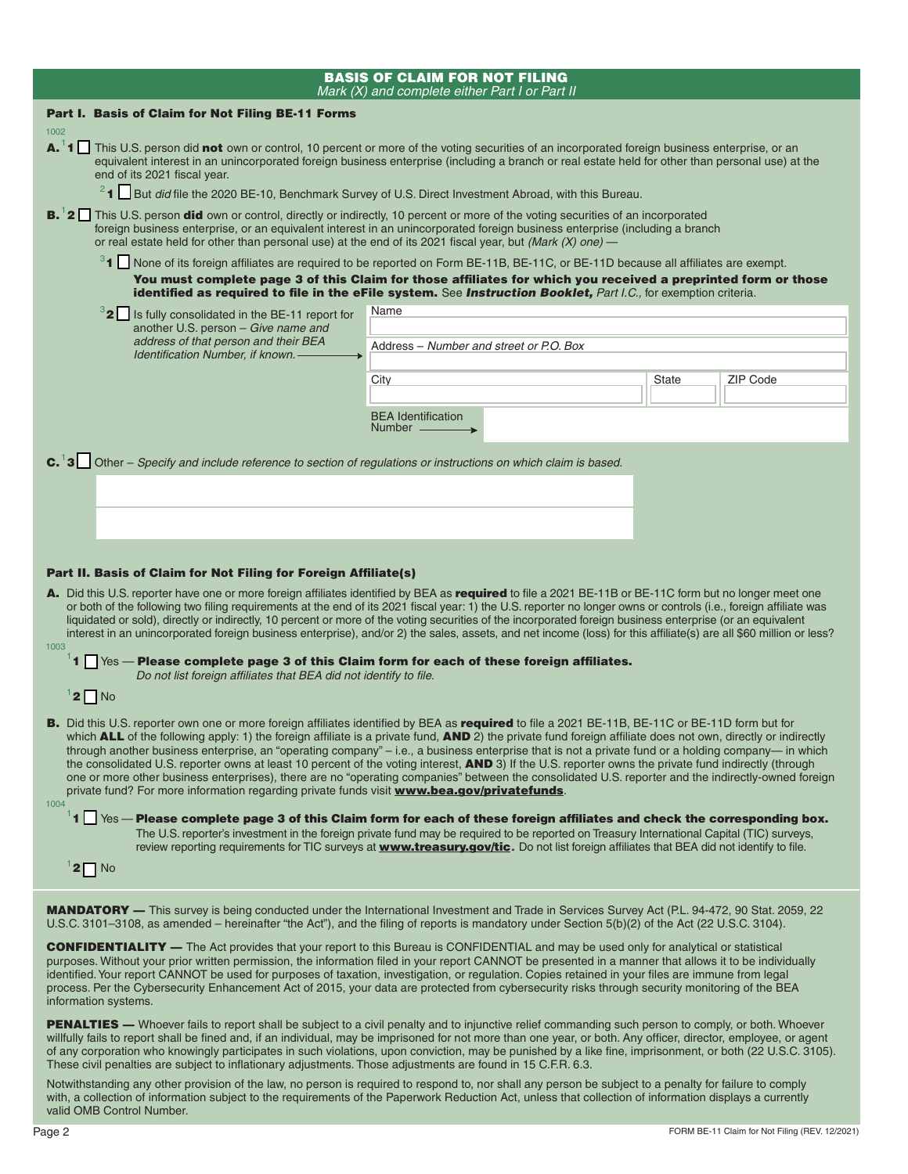|                                                                                                                                                                                                                                                                                                                                                                                                                                                                                                                                                                                                                                                                                                                                                                                                                                                                                                            | <b>BASIS OF CLAIM FOR NOT FILING</b><br>Mark (X) and complete either Part I or Part II                                                                                                                                           |              |                 |  |
|------------------------------------------------------------------------------------------------------------------------------------------------------------------------------------------------------------------------------------------------------------------------------------------------------------------------------------------------------------------------------------------------------------------------------------------------------------------------------------------------------------------------------------------------------------------------------------------------------------------------------------------------------------------------------------------------------------------------------------------------------------------------------------------------------------------------------------------------------------------------------------------------------------|----------------------------------------------------------------------------------------------------------------------------------------------------------------------------------------------------------------------------------|--------------|-----------------|--|
| Part I. Basis of Claim for Not Filing BE-11 Forms                                                                                                                                                                                                                                                                                                                                                                                                                                                                                                                                                                                                                                                                                                                                                                                                                                                          |                                                                                                                                                                                                                                  |              |                 |  |
| 1002                                                                                                                                                                                                                                                                                                                                                                                                                                                                                                                                                                                                                                                                                                                                                                                                                                                                                                       |                                                                                                                                                                                                                                  |              |                 |  |
| A. <sup>1</sup> 1 This U.S. person did not own or control, 10 percent or more of the voting securities of an incorporated foreign business enterprise, or an<br>equivalent interest in an unincorporated foreign business enterprise (including a branch or real estate held for other than personal use) at the<br>end of its 2021 fiscal year.                                                                                                                                                                                                                                                                                                                                                                                                                                                                                                                                                           |                                                                                                                                                                                                                                  |              |                 |  |
|                                                                                                                                                                                                                                                                                                                                                                                                                                                                                                                                                                                                                                                                                                                                                                                                                                                                                                            | <sup>2</sup> 1 But <i>did</i> file the 2020 BE-10, Benchmark Survey of U.S. Direct Investment Abroad, with this Bureau.                                                                                                          |              |                 |  |
| <b>B.</b> 2 This U.S. person <b>did</b> own or control, directly or indirectly, 10 percent or more of the voting securities of an incorporated<br>foreign business enterprise, or an equivalent interest in an unincorporated foreign business enterprise (including a branch<br>or real estate held for other than personal use) at the end of its 2021 fiscal year, but (Mark $(X)$ one) —                                                                                                                                                                                                                                                                                                                                                                                                                                                                                                               |                                                                                                                                                                                                                                  |              |                 |  |
|                                                                                                                                                                                                                                                                                                                                                                                                                                                                                                                                                                                                                                                                                                                                                                                                                                                                                                            | <sup>3</sup> 1 None of its foreign affiliates are required to be reported on Form BE-11B, BE-11C, or BE-11D because all affiliates are exempt.                                                                                   |              |                 |  |
|                                                                                                                                                                                                                                                                                                                                                                                                                                                                                                                                                                                                                                                                                                                                                                                                                                                                                                            | You must complete page 3 of this Claim for those affiliates for which you received a preprinted form or those<br>identified as required to file in the eFile system. See Instruction Booklet, Part I.C., for exemption criteria. |              |                 |  |
| <sup>3</sup> 2 Is fully consolidated in the BE-11 report for                                                                                                                                                                                                                                                                                                                                                                                                                                                                                                                                                                                                                                                                                                                                                                                                                                               | Name                                                                                                                                                                                                                             |              |                 |  |
| another U.S. person - Give name and                                                                                                                                                                                                                                                                                                                                                                                                                                                                                                                                                                                                                                                                                                                                                                                                                                                                        |                                                                                                                                                                                                                                  |              |                 |  |
| address of that person and their BEA<br>Identification Number, if known. -                                                                                                                                                                                                                                                                                                                                                                                                                                                                                                                                                                                                                                                                                                                                                                                                                                 | Address - Number and street or P.O. Box                                                                                                                                                                                          |              |                 |  |
|                                                                                                                                                                                                                                                                                                                                                                                                                                                                                                                                                                                                                                                                                                                                                                                                                                                                                                            |                                                                                                                                                                                                                                  |              |                 |  |
|                                                                                                                                                                                                                                                                                                                                                                                                                                                                                                                                                                                                                                                                                                                                                                                                                                                                                                            | City                                                                                                                                                                                                                             | <b>State</b> | <b>ZIP Code</b> |  |
|                                                                                                                                                                                                                                                                                                                                                                                                                                                                                                                                                                                                                                                                                                                                                                                                                                                                                                            | <b>BEA</b> Identification                                                                                                                                                                                                        |              |                 |  |
|                                                                                                                                                                                                                                                                                                                                                                                                                                                                                                                                                                                                                                                                                                                                                                                                                                                                                                            | Number ______                                                                                                                                                                                                                    |              |                 |  |
| Part II. Basis of Claim for Not Filing for Foreign Affiliate(s)<br>A. Did this U.S. reporter have one or more foreign affiliates identified by BEA as required to file a 2021 BE-11B or BE-11C form but no longer meet one<br>or both of the following two filing requirements at the end of its 2021 fiscal year: 1) the U.S. reporter no longer owns or controls (i.e., foreign affiliate was<br>liquidated or sold), directly or indirectly, 10 percent or more of the voting securities of the incorporated foreign business enterprise (or an equivalent<br>interest in an unincorporated foreign business enterprise), and/or 2) the sales, assets, and net income (loss) for this affiliate(s) are all \$60 million or less?<br>1003<br>$^1$ 1 $\Box$ $\, \lor$ es — Please complete page 3 of this Claim form for each of these foreign affiliates.                                                |                                                                                                                                                                                                                                  |              |                 |  |
| Do not list foreign affiliates that BEA did not identify to file.<br>$12$ No                                                                                                                                                                                                                                                                                                                                                                                                                                                                                                                                                                                                                                                                                                                                                                                                                               |                                                                                                                                                                                                                                  |              |                 |  |
| B. Did this U.S. reporter own one or more foreign affiliates identified by BEA as required to file a 2021 BE-11B, BE-11C or BE-11D form but for<br>which <b>ALL</b> of the following apply: 1) the foreign affiliate is a private fund, <b>AND</b> 2) the private fund foreign affiliate does not own, directly or indirectly<br>through another business enterprise, an "operating company" - i.e., a business enterprise that is not a private fund or a holding company- in which<br>the consolidated U.S. reporter owns at least 10 percent of the voting interest, AND 3) If the U.S. reporter owns the private fund indirectly (through<br>one or more other business enterprises), there are no "operating companies" between the consolidated U.S. reporter and the indirectly-owned foreign<br>private fund? For more information regarding private funds visit www.bea.gov/privatefunds.<br>1004 |                                                                                                                                                                                                                                  |              |                 |  |
| $^1$ 1 $\Box$ $\,$ Yes — Please complete page 3 of this Claim form for each of these foreign affiliates and check the corresponding box.<br>The U.S. reporter's investment in the foreign private fund may be required to be reported on Treasury International Capital (TIC) surveys,<br>review reporting requirements for TIC surveys at <b>www.treasury.gov/tic.</b> Do not list foreign affiliates that BEA did not identify to file.<br>$1$ 2 $\Box$ No                                                                                                                                                                                                                                                                                                                                                                                                                                               |                                                                                                                                                                                                                                  |              |                 |  |
| <b>MANDATORY</b> — This survey is being conducted under the International Investment and Trade in Services Survey Act (P.L. 94-472, 90 Stat. 2059, 22<br>U.S.C. 3101–3108, as amended – hereinafter "the Act"), and the filing of reports is mandatory under Section 5(b)(2) of the Act (22 U.S.C. 3104).                                                                                                                                                                                                                                                                                                                                                                                                                                                                                                                                                                                                  |                                                                                                                                                                                                                                  |              |                 |  |
| CONFIDENTIALITY The Act provided that your report to this Rureau is CONFIDENTIAL and may be used only for applying Lar statistical                                                                                                                                                                                                                                                                                                                                                                                                                                                                                                                                                                                                                                                                                                                                                                         |                                                                                                                                                                                                                                  |              |                 |  |

CONFIDENTIALITY — The Act provides that your report to this Bureau is CONFIDENTIAL and may be used only for analytical or statistical purposes. Without your prior written permission, the information filed in your report CANNOT be presented in a manner that allows it to be individually identified. Your report CANNOT be used for purposes of taxation, investigation, or regulation. Copies retained in your files are immune from legal process. Per the Cybersecurity Enhancement Act of 2015, your data are protected from cybersecurity risks through security monitoring of the BEA information systems.

PENALTIES — Whoever fails to report shall be subject to a civil penalty and to injunctive relief commanding such person to comply, or both. Whoever willfully fails to report shall be fined and, if an individual, may be imprisoned for not more than one year, or both. Any officer, director, employee, or agent of any corporation who knowingly participates in such violations, upon conviction, may be punished by a like fine, imprisonment, or both (22 U.S.C. 3105). These civil penalties are subject to inflationary adjustments. Those adjustments are found in 15 C.F.R. 6.3.

Notwithstanding any other provision of the law, no person is required to respond to, nor shall any person be subject to a penalty for failure to comply with, a collection of information subject to the requirements of the Paperwork Reduction Act, unless that collection of information displays a currently valid OMB Control Number.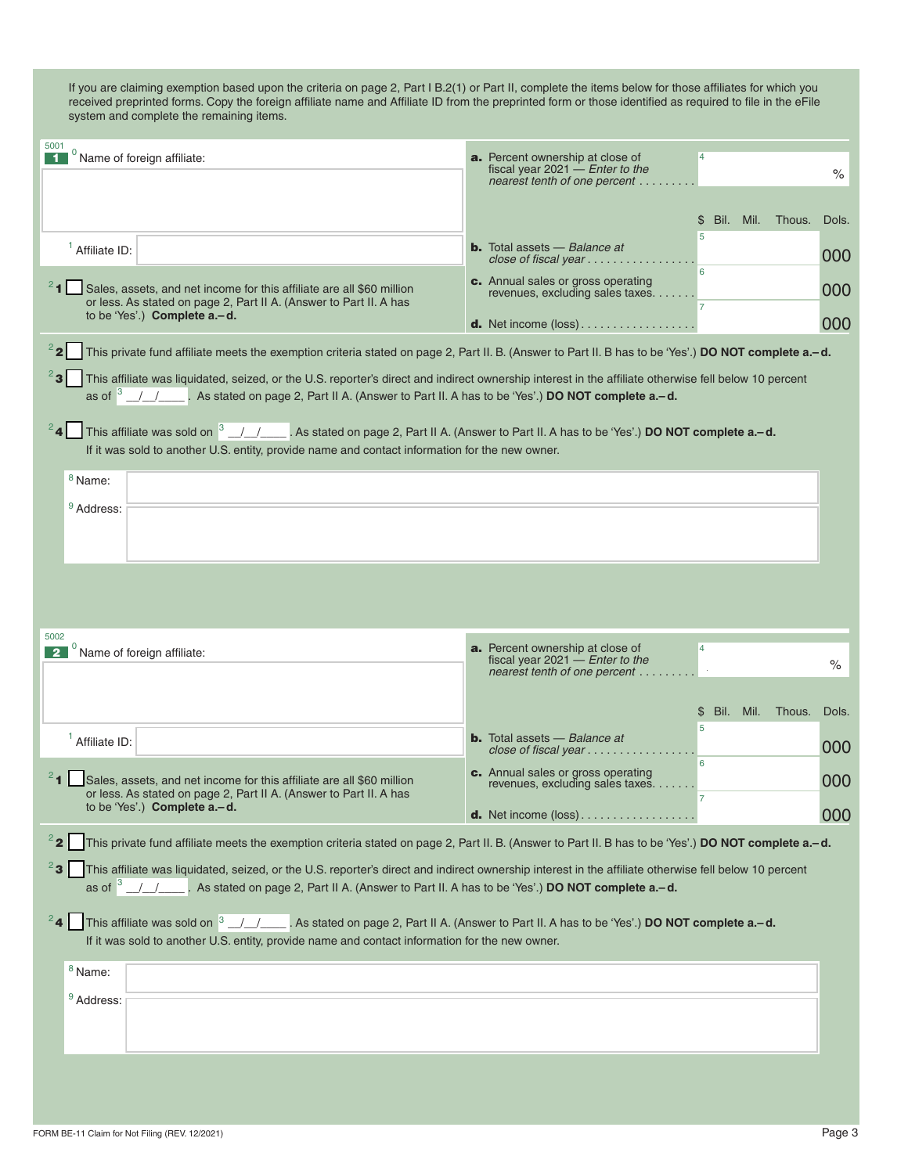| $\%$<br>nearest tenth of one percent<br>Bil. Mil. Thous.<br>Dols.<br>\$<br>5<br><b>b.</b> Total assets $-$ Balance at<br>$1$ Affiliate ID:<br>000<br>close of fiscal year $\ldots \ldots \ldots \ldots \ldots$<br>6<br>c. Annual sales or gross operating<br><sup>2</sup> 1 Sales, assets, and net income for this affiliate are all \$60 million<br>000<br>revenues, excluding sales taxes.<br>or less. As stated on page 2, Part II A. (Answer to Part II. A has<br>to be 'Yes'.) Complete a.-d.<br>000<br><b>d.</b> Net income $(\text{loss})$<br>This private fund affiliate meets the exemption criteria stated on page 2, Part II. B. (Answer to Part II. B has to be 'Yes'.) DO NOT complete a.-d.<br>$^{2}$ 3<br>This affiliate was liquidated, seized, or the U.S. reporter's direct and indirect ownership interest in the affiliate otherwise fell below 10 percent<br>as of $3$ / / $\prime$ . As stated on page 2, Part II A. (Answer to Part II. A has to be 'Yes'.) <b>DO NOT complete a.-d.</b> |
|-----------------------------------------------------------------------------------------------------------------------------------------------------------------------------------------------------------------------------------------------------------------------------------------------------------------------------------------------------------------------------------------------------------------------------------------------------------------------------------------------------------------------------------------------------------------------------------------------------------------------------------------------------------------------------------------------------------------------------------------------------------------------------------------------------------------------------------------------------------------------------------------------------------------------------------------------------------------------------------------------------------------|
|                                                                                                                                                                                                                                                                                                                                                                                                                                                                                                                                                                                                                                                                                                                                                                                                                                                                                                                                                                                                                 |
|                                                                                                                                                                                                                                                                                                                                                                                                                                                                                                                                                                                                                                                                                                                                                                                                                                                                                                                                                                                                                 |
|                                                                                                                                                                                                                                                                                                                                                                                                                                                                                                                                                                                                                                                                                                                                                                                                                                                                                                                                                                                                                 |
|                                                                                                                                                                                                                                                                                                                                                                                                                                                                                                                                                                                                                                                                                                                                                                                                                                                                                                                                                                                                                 |
|                                                                                                                                                                                                                                                                                                                                                                                                                                                                                                                                                                                                                                                                                                                                                                                                                                                                                                                                                                                                                 |
|                                                                                                                                                                                                                                                                                                                                                                                                                                                                                                                                                                                                                                                                                                                                                                                                                                                                                                                                                                                                                 |
|                                                                                                                                                                                                                                                                                                                                                                                                                                                                                                                                                                                                                                                                                                                                                                                                                                                                                                                                                                                                                 |
| This affiliate was sold on <sup>3</sup> // / As stated on page 2, Part II A. (Answer to Part II. A has to be 'Yes'.) <b>DO NOT complete a-d.</b><br>If it was sold to another U.S. entity, provide name and contact information for the new owner.                                                                                                                                                                                                                                                                                                                                                                                                                                                                                                                                                                                                                                                                                                                                                              |
| <sup>8</sup> Name:                                                                                                                                                                                                                                                                                                                                                                                                                                                                                                                                                                                                                                                                                                                                                                                                                                                                                                                                                                                              |
| <sup>9</sup> Address:                                                                                                                                                                                                                                                                                                                                                                                                                                                                                                                                                                                                                                                                                                                                                                                                                                                                                                                                                                                           |
|                                                                                                                                                                                                                                                                                                                                                                                                                                                                                                                                                                                                                                                                                                                                                                                                                                                                                                                                                                                                                 |
|                                                                                                                                                                                                                                                                                                                                                                                                                                                                                                                                                                                                                                                                                                                                                                                                                                                                                                                                                                                                                 |
|                                                                                                                                                                                                                                                                                                                                                                                                                                                                                                                                                                                                                                                                                                                                                                                                                                                                                                                                                                                                                 |
| 5002<br><b>a.</b> Percent ownership at close of<br>$\overline{4}$                                                                                                                                                                                                                                                                                                                                                                                                                                                                                                                                                                                                                                                                                                                                                                                                                                                                                                                                               |
| $0$ Name of foreign affiliate:<br>2 <sup>1</sup><br>fiscal year $2021$ - Enter to the<br>$\%$<br>nearest tenth of one percent                                                                                                                                                                                                                                                                                                                                                                                                                                                                                                                                                                                                                                                                                                                                                                                                                                                                                   |
| Bil. Mil. Thous.<br>Dols.<br>\$                                                                                                                                                                                                                                                                                                                                                                                                                                                                                                                                                                                                                                                                                                                                                                                                                                                                                                                                                                                 |
| 5<br><b>b.</b> Total assets $-$ Balance at<br>$1$ Affiliate ID:                                                                                                                                                                                                                                                                                                                                                                                                                                                                                                                                                                                                                                                                                                                                                                                                                                                                                                                                                 |
| 000<br>close of fiscal year<br>6<br>c. Annual sales or gross operating                                                                                                                                                                                                                                                                                                                                                                                                                                                                                                                                                                                                                                                                                                                                                                                                                                                                                                                                          |
| Sales, assets, and net income for this affiliate are all \$60 million<br>000<br>revenues, excluding sales taxes.<br>or less. As stated on page 2, Part II A. (Answer to Part II. A has                                                                                                                                                                                                                                                                                                                                                                                                                                                                                                                                                                                                                                                                                                                                                                                                                          |
| to be 'Yes'.) Complete a.-d.<br>000<br><b>d.</b> Net income (loss)                                                                                                                                                                                                                                                                                                                                                                                                                                                                                                                                                                                                                                                                                                                                                                                                                                                                                                                                              |
| $2^2$<br>This private fund affiliate meets the exemption criteria stated on page 2, Part II. B. (Answer to Part II. B has to be 'Yes'.) DO NOT complete a.-d.                                                                                                                                                                                                                                                                                                                                                                                                                                                                                                                                                                                                                                                                                                                                                                                                                                                   |
| $^{2}$ 3<br>This affiliate was liquidated, seized, or the U.S. reporter's direct and indirect ownership interest in the affiliate otherwise fell below 10 percent<br>as of $3$ /// $\blacksquare$ . As stated on page 2, Part II A. (Answer to Part II. A has to be 'Yes'.) <b>DO NOT complete a.-d.</b>                                                                                                                                                                                                                                                                                                                                                                                                                                                                                                                                                                                                                                                                                                        |
| $^{2}$ 4<br>This affiliate was sold on <sup>3</sup> / / . As stated on page 2, Part II A. (Answer to Part II. A has to be 'Yes'.) <b>DO NOT complete a-d.</b><br>If it was sold to another U.S. entity, provide name and contact information for the new owner.                                                                                                                                                                                                                                                                                                                                                                                                                                                                                                                                                                                                                                                                                                                                                 |
| $8$ Name:                                                                                                                                                                                                                                                                                                                                                                                                                                                                                                                                                                                                                                                                                                                                                                                                                                                                                                                                                                                                       |
| <sup>9</sup> Address:                                                                                                                                                                                                                                                                                                                                                                                                                                                                                                                                                                                                                                                                                                                                                                                                                                                                                                                                                                                           |
|                                                                                                                                                                                                                                                                                                                                                                                                                                                                                                                                                                                                                                                                                                                                                                                                                                                                                                                                                                                                                 |
|                                                                                                                                                                                                                                                                                                                                                                                                                                                                                                                                                                                                                                                                                                                                                                                                                                                                                                                                                                                                                 |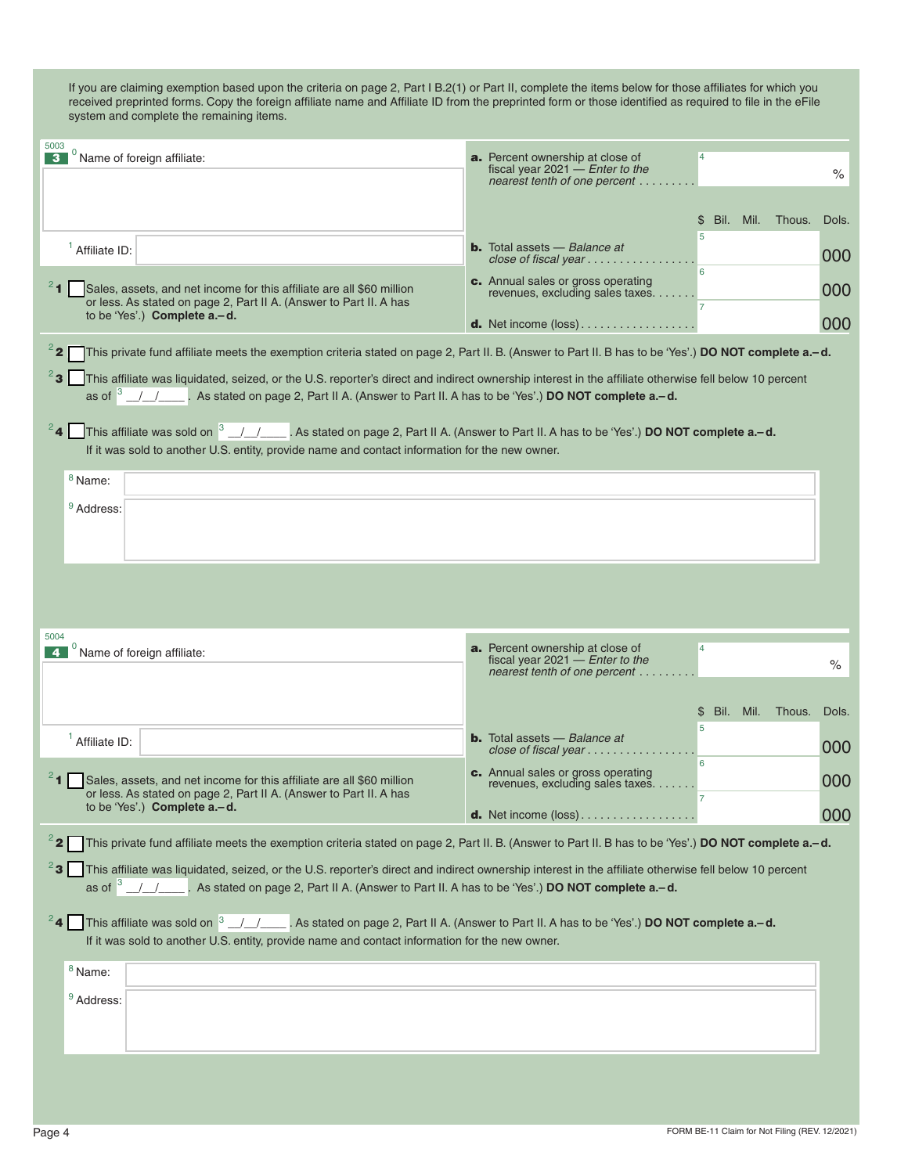| 5003<br>0<br>Name of foreign affiliate:                                                                                                                                                                                                        | a. Percent ownership at close of<br>$\overline{4}$                                               |       |
|------------------------------------------------------------------------------------------------------------------------------------------------------------------------------------------------------------------------------------------------|--------------------------------------------------------------------------------------------------|-------|
| з                                                                                                                                                                                                                                              | fiscal year $2021 -$ <i>Enter to the</i><br>nearest tenth of one percent                         | $\%$  |
|                                                                                                                                                                                                                                                |                                                                                                  |       |
|                                                                                                                                                                                                                                                | Bil. Mil. Thous.<br>\$.<br>5                                                                     | Dols. |
| $1$ Affiliate ID:                                                                                                                                                                                                                              | <b>b.</b> Total assets - Balance at<br>close of fiscal year $\ldots \ldots \ldots \ldots \ldots$ | 000   |
| Sales, assets, and net income for this affiliate are all \$60 million                                                                                                                                                                          | 6<br>c. Annual sales or gross operating<br>revenues, excluding sales taxes.                      | 000   |
| or less. As stated on page 2, Part II A. (Answer to Part II. A has<br>to be 'Yes'.) Complete a.-d.                                                                                                                                             | $\overline{7}$<br><b>d.</b> Net income $(\text{loss})$                                           | 000   |
| $2^2$<br>This private fund affiliate meets the exemption criteria stated on page 2, Part II. B. (Answer to Part II. B has to be 'Yes'.) DO NOT complete a.-d.                                                                                  |                                                                                                  |       |
| $^{2}$ 3<br>This affiliate was liquidated, seized, or the U.S. reporter's direct and indirect ownership interest in the affiliate otherwise fell below 10 percent                                                                              |                                                                                                  |       |
| This affiliate was sold on $3$ $/$ $/$ $\sim$ . As stated on page 2, Part II A. (Answer to Part II. A has to be 'Yes'.) DO NOT complete a-d.<br>If it was sold to another U.S. entity, provide name and contact information for the new owner. |                                                                                                  |       |
| <sup>8</sup> Name:                                                                                                                                                                                                                             |                                                                                                  |       |
| <sup>9</sup> Address:                                                                                                                                                                                                                          |                                                                                                  |       |
|                                                                                                                                                                                                                                                |                                                                                                  |       |
|                                                                                                                                                                                                                                                |                                                                                                  |       |
|                                                                                                                                                                                                                                                |                                                                                                  |       |
|                                                                                                                                                                                                                                                |                                                                                                  |       |
| 5004<br>$0$ Name of foreign affiliate:<br>$\overline{4}$                                                                                                                                                                                       | <b>a.</b> Percent ownership at close of<br>$\overline{4}$<br>fiscal year 2021 $-$ Enter to the   | $\%$  |
|                                                                                                                                                                                                                                                | nearest tenth of one percent                                                                     |       |
|                                                                                                                                                                                                                                                | Bil.<br>Mil.<br>Thous.<br>\$                                                                     | Dols. |
| $1$ Affiliate ID:                                                                                                                                                                                                                              | 5<br><b>b.</b> Total assets - Balance at<br>close of fiscal year $\ldots \ldots \ldots \ldots$   | 000   |
| $^{2}$ 1<br>Sales, assets, and net income for this affiliate are all \$60 million                                                                                                                                                              | 6<br>c. Annual sales or gross operating                                                          | 000   |
| or less. As stated on page 2, Part II A. (Answer to Part II. A has<br>to be 'Yes'.) Complete a .- d.                                                                                                                                           | revenues, excluding sales taxes.                                                                 |       |
|                                                                                                                                                                                                                                                | <b>d.</b> Net income $(\text{loss})$                                                             | 000   |
| $2$ 2<br>This private fund affiliate meets the exemption criteria stated on page 2, Part II. B. (Answer to Part II. B has to be 'Yes'.) DO NOT complete a.-d.                                                                                  |                                                                                                  |       |
| <sup>2</sup> 3 This affiliate was liquidated, seized, or the U.S. reporter's direct and indirect ownership interest in the affiliate otherwise fell below 10 percent                                                                           |                                                                                                  |       |
| <sup>2</sup> 4 This affiliate was sold on $3$ / / as stated on page 2, Part II A. (Answer to Part II. A has to be 'Yes'.) DO NOT complete a-d.                                                                                                 |                                                                                                  |       |
| If it was sold to another U.S. entity, provide name and contact information for the new owner.                                                                                                                                                 |                                                                                                  |       |
| $8$ Name:                                                                                                                                                                                                                                      |                                                                                                  |       |
| <sup>9</sup> Address:                                                                                                                                                                                                                          |                                                                                                  |       |
|                                                                                                                                                                                                                                                |                                                                                                  |       |
|                                                                                                                                                                                                                                                |                                                                                                  |       |
|                                                                                                                                                                                                                                                |                                                                                                  |       |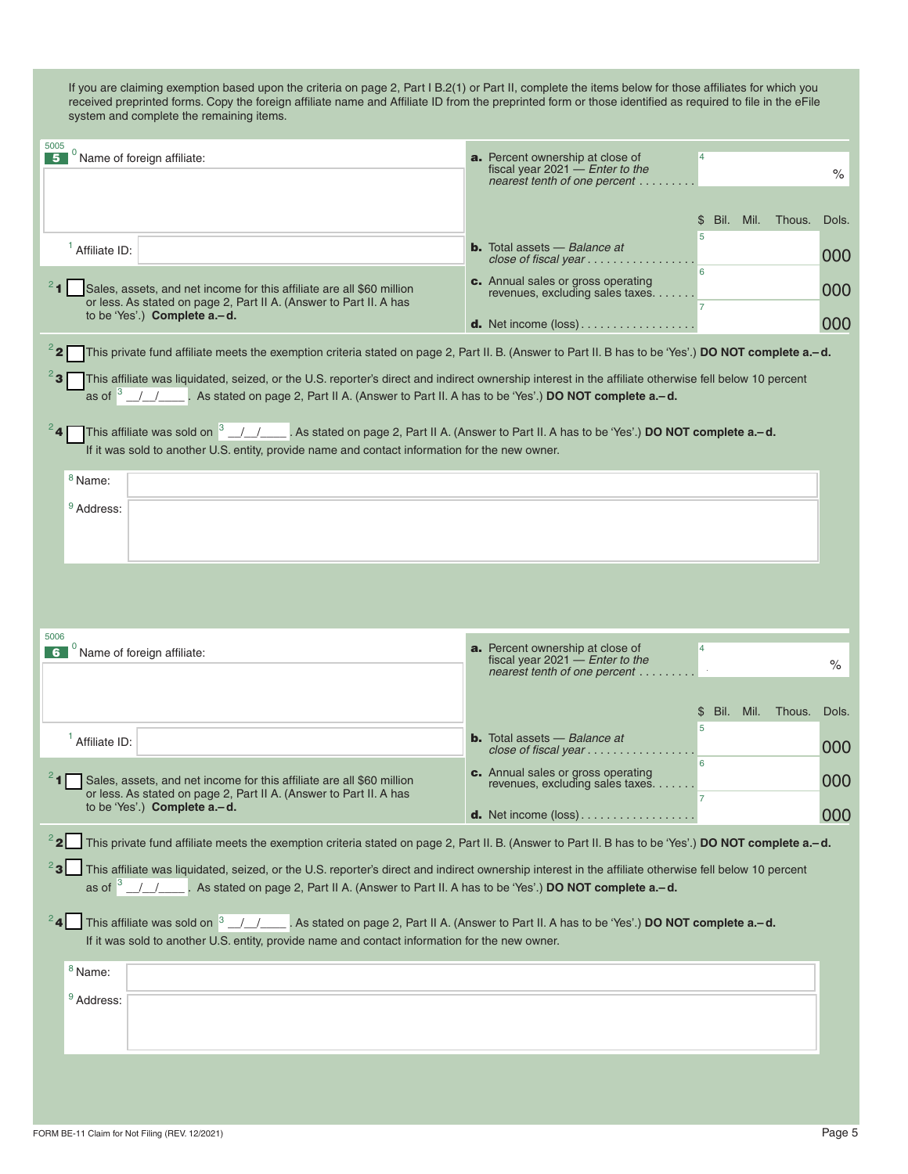| 5005<br>Name of foreign affiliate:                                                                                                                                                                                                                                                        | a. Percent ownership at close of<br>$\overline{4}$<br>fiscal year $2021$ – <i>Enter to the</i><br>nearest tenth of one percent | $\%$  |  |
|-------------------------------------------------------------------------------------------------------------------------------------------------------------------------------------------------------------------------------------------------------------------------------------------|--------------------------------------------------------------------------------------------------------------------------------|-------|--|
|                                                                                                                                                                                                                                                                                           | Bil. Mil. Thous.<br>\$                                                                                                         | Dols. |  |
| $1$ Affiliate ID:                                                                                                                                                                                                                                                                         | 5<br><b>b.</b> Total assets $-$ Balance at<br>close of fiscal year $\ldots \ldots \ldots \ldots$                               | 000   |  |
| Sales, assets, and net income for this affiliate are all \$60 million<br>or less. As stated on page 2, Part II A. (Answer to Part II. A has                                                                                                                                               | 6<br>c. Annual sales or gross operating<br>revenues, excluding sales taxes.                                                    | 000   |  |
| to be 'Yes'.) Complete a.-d.                                                                                                                                                                                                                                                              | <b>d.</b> Net income $(\text{loss})$                                                                                           | 000   |  |
| $2$ 2<br>This private fund affiliate meets the exemption criteria stated on page 2, Part II. B. (Answer to Part II. B has to be 'Yes'.) DO NOT complete a.-d.                                                                                                                             |                                                                                                                                |       |  |
| ∛3  <br>This affiliate was liquidated, seized, or the U.S. reporter's direct and indirect ownership interest in the affiliate otherwise fell below 10 percent                                                                                                                             |                                                                                                                                |       |  |
| This affiliate was sold on $3/1$ $\sim$ . As stated on page 2, Part II A. (Answer to Part II. A has to be 'Yes'.) DO NOT complete a.–d.                                                                                                                                                   |                                                                                                                                |       |  |
| If it was sold to another U.S. entity, provide name and contact information for the new owner.                                                                                                                                                                                            |                                                                                                                                |       |  |
| $8$ Name:<br><sup>9</sup> Address:                                                                                                                                                                                                                                                        |                                                                                                                                |       |  |
|                                                                                                                                                                                                                                                                                           |                                                                                                                                |       |  |
|                                                                                                                                                                                                                                                                                           |                                                                                                                                |       |  |
|                                                                                                                                                                                                                                                                                           |                                                                                                                                |       |  |
| 5006                                                                                                                                                                                                                                                                                      |                                                                                                                                |       |  |
| 6 Name of foreign affiliate:                                                                                                                                                                                                                                                              | <b>a.</b> Percent ownership at close of<br>$\overline{4}$<br>fiscal year $2021$ - Enter to the<br>nearest tenth of one percent | $\%$  |  |
|                                                                                                                                                                                                                                                                                           |                                                                                                                                |       |  |
|                                                                                                                                                                                                                                                                                           | Bil. Mil. Thous.<br>\$<br>5                                                                                                    | Dols. |  |
| $1$ Affiliate ID:                                                                                                                                                                                                                                                                         | <b>b.</b> Total assets $-$ Balance at<br>close of fiscal year<br>6                                                             | 000   |  |
| Sales, assets, and net income for this affiliate are all \$60 million<br>or less. As stated on page 2, Part II A. (Answer to Part II. A has                                                                                                                                               | c. Annual sales or gross operating<br>revenues, excluding sales taxes.                                                         | 000   |  |
| to be 'Yes'.) Complete a.-d.                                                                                                                                                                                                                                                              | <b>d.</b> Net income (loss)                                                                                                    | 000   |  |
| $^{2}$ 2<br>This private fund affiliate meets the exemption criteria stated on page 2, Part II. B. (Answer to Part II. B has to be 'Yes'.) DO NOT complete a.-d.                                                                                                                          |                                                                                                                                |       |  |
| $^{2}$ 3<br>This affiliate was liquidated, seized, or the U.S. reporter's direct and indirect ownership interest in the affiliate otherwise fell below 10 percent<br>as of $3 - 1$ , es stated on page 2, Part II A. (Answer to Part II. A has to be 'Yes'.) <b>DO NOT complete a.-d.</b> |                                                                                                                                |       |  |
| <sup>2</sup> 4 This affiliate was sold on $3$ / / $\blacksquare$ As stated on page 2, Part II A. (Answer to Part II. A has to be 'Yes'.) <b>DO NOT complete a-d.</b><br>If it was sold to another U.S. entity, provide name and contact information for the new owner.                    |                                                                                                                                |       |  |
| $8$ Name:                                                                                                                                                                                                                                                                                 |                                                                                                                                |       |  |
| <sup>9</sup> Address:                                                                                                                                                                                                                                                                     |                                                                                                                                |       |  |
|                                                                                                                                                                                                                                                                                           |                                                                                                                                |       |  |
|                                                                                                                                                                                                                                                                                           |                                                                                                                                |       |  |